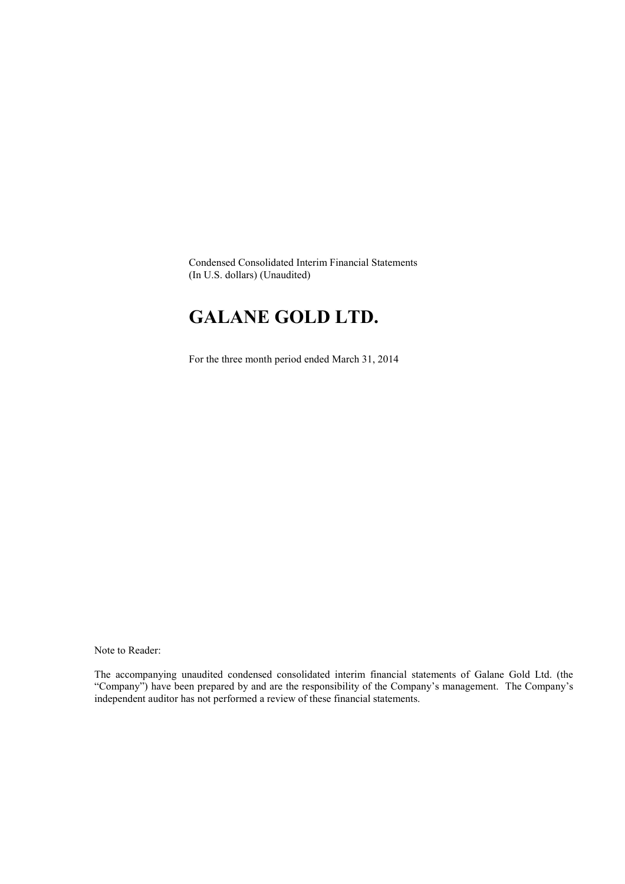Condensed Consolidated Interim Financial Statements (In U.S. dollars) (Unaudited)

# **GALANE GOLD LTD.**

For the three month period ended March 31, 2014

Note to Reader:

The accompanying unaudited condensed consolidated interim financial statements of Galane Gold Ltd. (the "Company") have been prepared by and are the responsibility of the Company's management. The Company's independent auditor has not performed a review of these financial statements.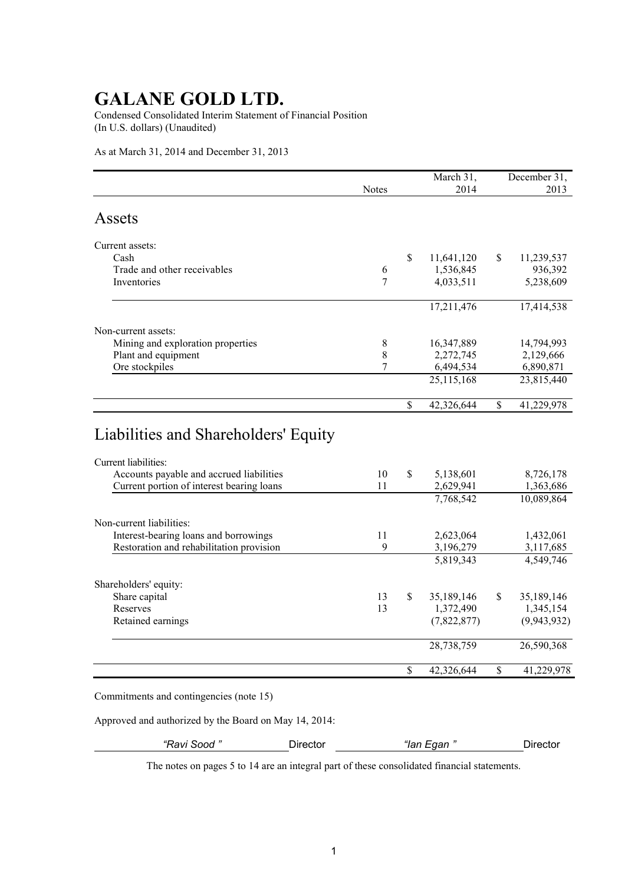Condensed Consolidated Interim Statement of Financial Position (In U.S. dollars) (Unaudited)

As at March 31, 2014 and December 31, 2013

|                                   |                |    | March 31,  | December 31, |            |  |
|-----------------------------------|----------------|----|------------|--------------|------------|--|
|                                   | <b>Notes</b>   |    | 2014       |              | 2013       |  |
| Assets                            |                |    |            |              |            |  |
| Current assets:                   |                |    |            |              |            |  |
| Cash                              |                | \$ | 11,641,120 | \$           | 11,239,537 |  |
| Trade and other receivables       | 6              |    | 1,536,845  |              | 936,392    |  |
| Inventories                       | $\overline{7}$ |    | 4,033,511  |              | 5,238,609  |  |
|                                   |                |    | 17,211,476 |              | 17,414,538 |  |
| Non-current assets:               |                |    |            |              |            |  |
| Mining and exploration properties | 8              |    | 16,347,889 |              | 14,794,993 |  |
| Plant and equipment               | 8              |    | 2,272,745  |              | 2,129,666  |  |
| Ore stockpiles                    | 7              |    | 6,494,534  |              | 6,890,871  |  |
|                                   |                |    | 25,115,168 |              | 23,815,440 |  |
|                                   |                | \$ | 42,326,644 | \$           | 41,229,978 |  |

| Current liabilities:                      |    |     |             |               |             |
|-------------------------------------------|----|-----|-------------|---------------|-------------|
| Accounts payable and accrued liabilities  | 10 | \$  | 5,138,601   |               | 8,726,178   |
| Current portion of interest bearing loans | 11 |     | 2,629,941   |               | 1,363,686   |
|                                           |    |     | 7,768,542   |               | 10,089,864  |
| Non-current liabilities:                  |    |     |             |               |             |
| Interest-bearing loans and borrowings     | 11 |     | 2,623,064   |               | 1,432,061   |
| Restoration and rehabilitation provision  | 9  |     | 3,196,279   |               | 3,117,685   |
|                                           |    |     | 5,819,343   |               | 4,549,746   |
| Shareholders' equity:                     |    |     |             |               |             |
| Share capital                             | 13 | \$. | 35,189,146  | <sup>\$</sup> | 35,189,146  |
| Reserves                                  | 13 |     | 1,372,490   |               | 1,345,154   |
| Retained earnings                         |    |     | (7,822,877) |               | (9,943,932) |
|                                           |    |     | 28,738,759  |               | 26,590,368  |
|                                           |    |     | 42,326,644  | \$            | 41,229,978  |

Commitments and contingencies (note 15)

Approved and authorized by the Board on May 14, 2014:

*"Ravi Sood "* Director *"Ian Egan "* Director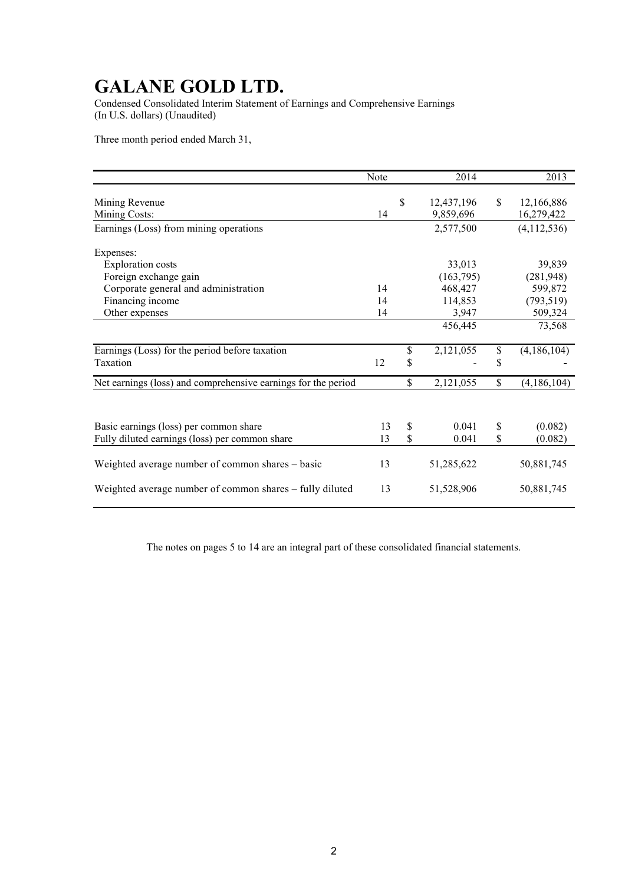Condensed Consolidated Interim Statement of Earnings and Comprehensive Earnings (In U.S. dollars) (Unaudited)

Three month period ended March 31,

|                                                               | Note | 2014                          |               | 2013                     |
|---------------------------------------------------------------|------|-------------------------------|---------------|--------------------------|
| Mining Revenue<br>Mining Costs:                               | 14   | \$<br>12,437,196<br>9,859,696 | <sup>\$</sup> | 12,166,886<br>16,279,422 |
| Earnings (Loss) from mining operations                        |      | 2,577,500                     |               | (4,112,536)              |
| Expenses:                                                     |      |                               |               |                          |
| <b>Exploration costs</b>                                      |      | 33,013                        |               | 39,839                   |
| Foreign exchange gain                                         |      | (163, 795)                    |               | (281, 948)               |
| Corporate general and administration                          | 14   | 468,427                       |               | 599,872                  |
| Financing income                                              | 14   | 114,853                       |               | (793, 519)               |
| Other expenses                                                | 14   | 3,947                         |               | 509,324                  |
|                                                               |      | 456,445                       |               | 73,568                   |
| Earnings (Loss) for the period before taxation                |      | \$<br>2,121,055               | \$            | (4,186,104)              |
| Taxation                                                      | 12   | \$                            | \$            |                          |
| Net earnings (loss) and comprehensive earnings for the period |      | \$<br>2,121,055               | \$            | (4,186,104)              |
|                                                               |      |                               |               |                          |
| Basic earnings (loss) per common share                        | 13   | \$<br>0.041                   | \$            | (0.082)                  |
| Fully diluted earnings (loss) per common share                | 13   | \$<br>0.041                   | \$            | (0.082)                  |
| Weighted average number of common shares – basic              | 13   | 51,285,622                    |               | 50,881,745               |
| Weighted average number of common shares - fully diluted      | 13   | 51,528,906                    |               | 50,881,745               |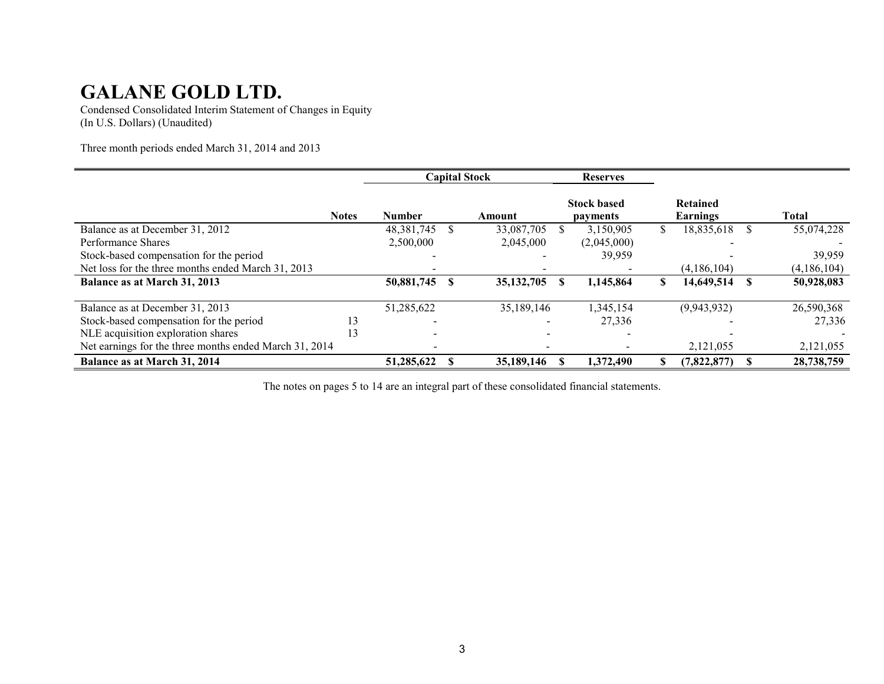Condensed Consolidated Interim Statement of Changes in Equity (In U.S. Dollars) (Unaudited)

Three month periods ended March 31, 2014 and 2013

|                                                        |              | <b>Capital Stock</b> |    | <b>Reserves</b> |                                |   |                             |    |             |
|--------------------------------------------------------|--------------|----------------------|----|-----------------|--------------------------------|---|-----------------------------|----|-------------|
|                                                        | <b>Notes</b> | <b>Number</b>        |    | Amount          | <b>Stock based</b><br>payments |   | <b>Retained</b><br>Earnings |    | Total       |
| Balance as at December 31, 2012                        |              | 48,381,745           |    | 33,087,705      | 3,150,905                      |   | 18,835,618                  |    | 55,074,228  |
| Performance Shares                                     |              | 2,500,000            |    | 2,045,000       | (2,045,000)                    |   |                             |    |             |
| Stock-based compensation for the period                |              |                      |    |                 | 39,959                         |   |                             |    | 39.959      |
| Net loss for the three months ended March 31, 2013     |              |                      |    |                 |                                |   | (4,186,104)                 |    | (4,186,104) |
| Balance as at March 31, 2013                           |              | 50,881,745           | -8 | 35, 132, 705    | 1,145,864                      | S | 14,649,514                  | -S | 50,928,083  |
| Balance as at December 31, 2013                        |              | 51,285,622           |    | 35,189,146      | 1,345,154                      |   | (9,943,932)                 |    | 26,590,368  |
| Stock-based compensation for the period                | 13           |                      |    |                 | 27,336                         |   |                             |    | 27,336      |
| NLE acquisition exploration shares                     | 13           |                      |    |                 |                                |   |                             |    |             |
| Net earnings for the three months ended March 31, 2014 |              |                      |    |                 |                                |   | 2,121,055                   |    | 2,121,055   |
| Balance as at March 31, 2014                           |              | 51,285,622           |    | 35,189,146      | 1,372,490                      |   | (7,822,877)                 |    | 28,738,759  |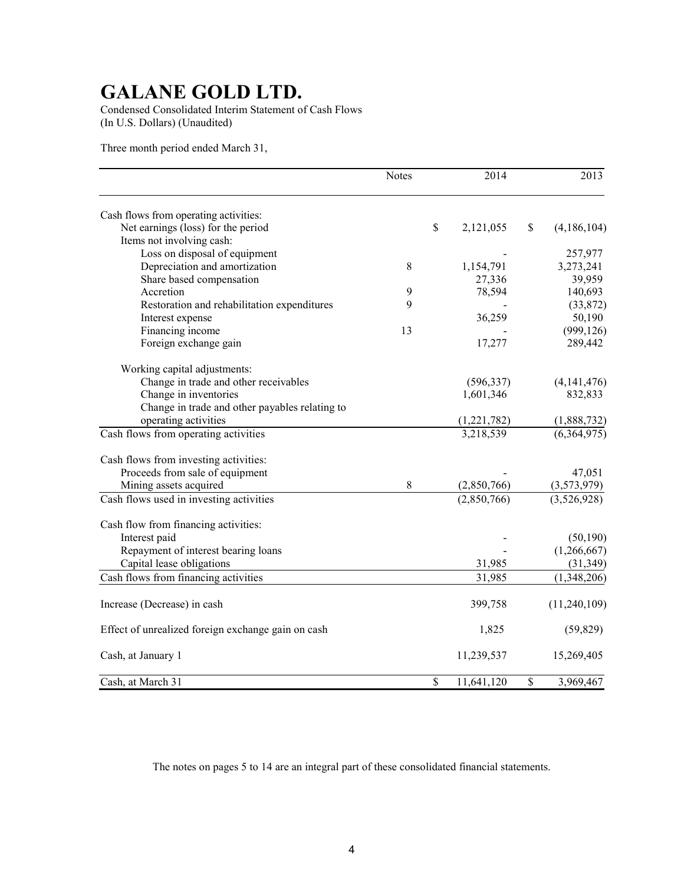Condensed Consolidated Interim Statement of Cash Flows (In U.S. Dollars) (Unaudited)

Three month period ended March 31,

|                                                    | <b>Notes</b> |              | 2014        | 2013                     |
|----------------------------------------------------|--------------|--------------|-------------|--------------------------|
| Cash flows from operating activities:              |              |              |             |                          |
| Net earnings (loss) for the period                 |              | $\mathbb S$  | 2,121,055   | \$<br>(4,186,104)        |
| Items not involving cash:                          |              |              |             |                          |
| Loss on disposal of equipment                      |              |              |             | 257,977                  |
| Depreciation and amortization                      | 8            |              | 1,154,791   | 3,273,241                |
| Share based compensation                           |              |              | 27,336      | 39,959                   |
| Accretion                                          | 9            |              | 78,594      | 140,693                  |
| Restoration and rehabilitation expenditures        | 9            |              |             | (33,872)                 |
| Interest expense                                   |              |              | 36,259      | 50,190                   |
| Financing income                                   | 13           |              |             | (999, 126)               |
| Foreign exchange gain                              |              |              | 17,277      | 289,442                  |
| Working capital adjustments:                       |              |              |             |                          |
| Change in trade and other receivables              |              |              | (596, 337)  | (4, 141, 476)            |
| Change in inventories                              |              |              | 1,601,346   | 832,833                  |
| Change in trade and other payables relating to     |              |              |             |                          |
| operating activities                               |              |              | (1,221,782) | (1,888,732)              |
| Cash flows from operating activities               |              |              | 3,218,539   | (6,364,975)              |
| Cash flows from investing activities:              |              |              |             |                          |
| Proceeds from sale of equipment                    |              |              |             | 47,051                   |
| Mining assets acquired                             | 8            |              | (2,850,766) | (3,573,979)              |
| Cash flows used in investing activities            |              |              | (2,850,766) | $\overline{(3,526,928)}$ |
| Cash flow from financing activities:               |              |              |             |                          |
| Interest paid                                      |              |              |             | (50, 190)                |
| Repayment of interest bearing loans                |              |              |             | (1,266,667)              |
| Capital lease obligations                          |              |              | 31,985      | (31, 349)                |
| Cash flows from financing activities               |              |              | 31,985      | (1,348,206)              |
| Increase (Decrease) in cash                        |              |              | 399,758     | (11,240,109)             |
| Effect of unrealized foreign exchange gain on cash |              |              | 1,825       | (59, 829)                |
| Cash, at January 1                                 |              |              | 11,239,537  | 15,269,405               |
| Cash, at March 31                                  |              | $\mathbb{S}$ | 11,641,120  | \$<br>3,969,467          |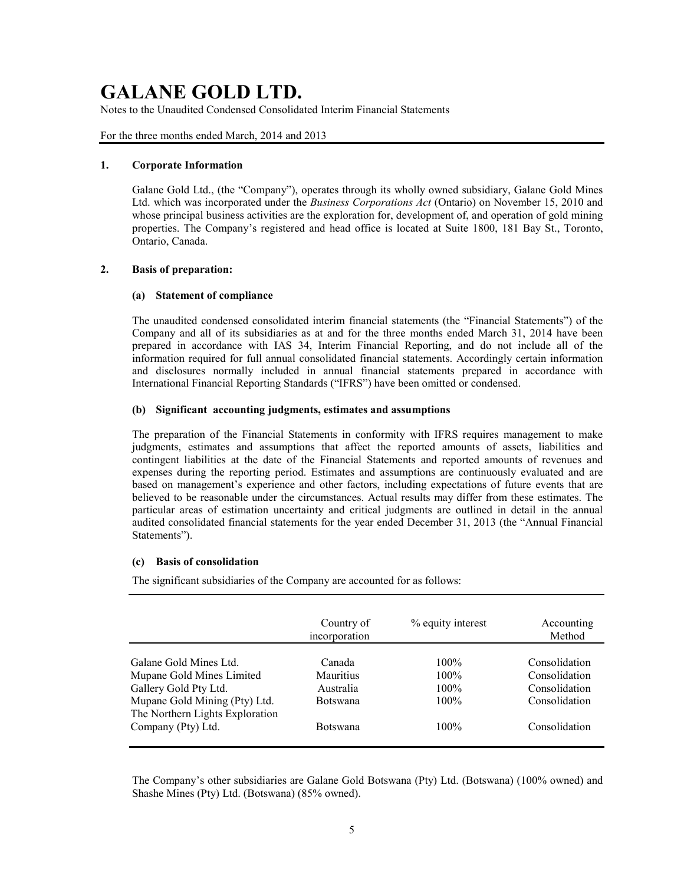Notes to the Unaudited Condensed Consolidated Interim Financial Statements

For the three months ended March, 2014 and 2013

### **1. Corporate Information**

Galane Gold Ltd., (the "Company"), operates through its wholly owned subsidiary, Galane Gold Mines Ltd. which was incorporated under the *Business Corporations Act* (Ontario) on November 15, 2010 and whose principal business activities are the exploration for, development of, and operation of gold mining properties. The Company's registered and head office is located at Suite 1800, 181 Bay St., Toronto, Ontario, Canada.

## **2. Basis of preparation:**

### **(a) Statement of compliance**

The unaudited condensed consolidated interim financial statements (the "Financial Statements") of the Company and all of its subsidiaries as at and for the three months ended March 31, 2014 have been prepared in accordance with IAS 34, Interim Financial Reporting, and do not include all of the information required for full annual consolidated financial statements. Accordingly certain information and disclosures normally included in annual financial statements prepared in accordance with International Financial Reporting Standards ("IFRS") have been omitted or condensed.

### **(b) Significant accounting judgments, estimates and assumptions**

The preparation of the Financial Statements in conformity with IFRS requires management to make judgments, estimates and assumptions that affect the reported amounts of assets, liabilities and contingent liabilities at the date of the Financial Statements and reported amounts of revenues and expenses during the reporting period. Estimates and assumptions are continuously evaluated and are based on management's experience and other factors, including expectations of future events that are believed to be reasonable under the circumstances. Actual results may differ from these estimates. The particular areas of estimation uncertainty and critical judgments are outlined in detail in the annual audited consolidated financial statements for the year ended December 31, 2013 (the "Annual Financial Statements").

## **(c) Basis of consolidation**

The significant subsidiaries of the Company are accounted for as follows:

|                                                                                        | Country of<br>incorporation      | % equity interest             | Accounting<br>Method                            |
|----------------------------------------------------------------------------------------|----------------------------------|-------------------------------|-------------------------------------------------|
| Galane Gold Mines Ltd.<br>Mupane Gold Mines Limited<br>Gallery Gold Pty Ltd.           | Canada<br>Mauritius<br>Australia | $100\%$<br>$100\%$<br>$100\%$ | Consolidation<br>Consolidation<br>Consolidation |
| Mupane Gold Mining (Pty) Ltd.<br>The Northern Lights Exploration<br>Company (Pty) Ltd. | <b>Botswana</b><br>Botswana      | $100\%$<br>$100\%$            | Consolidation<br>Consolidation                  |
|                                                                                        |                                  |                               |                                                 |

The Company's other subsidiaries are Galane Gold Botswana (Pty) Ltd. (Botswana) (100% owned) and Shashe Mines (Pty) Ltd. (Botswana) (85% owned).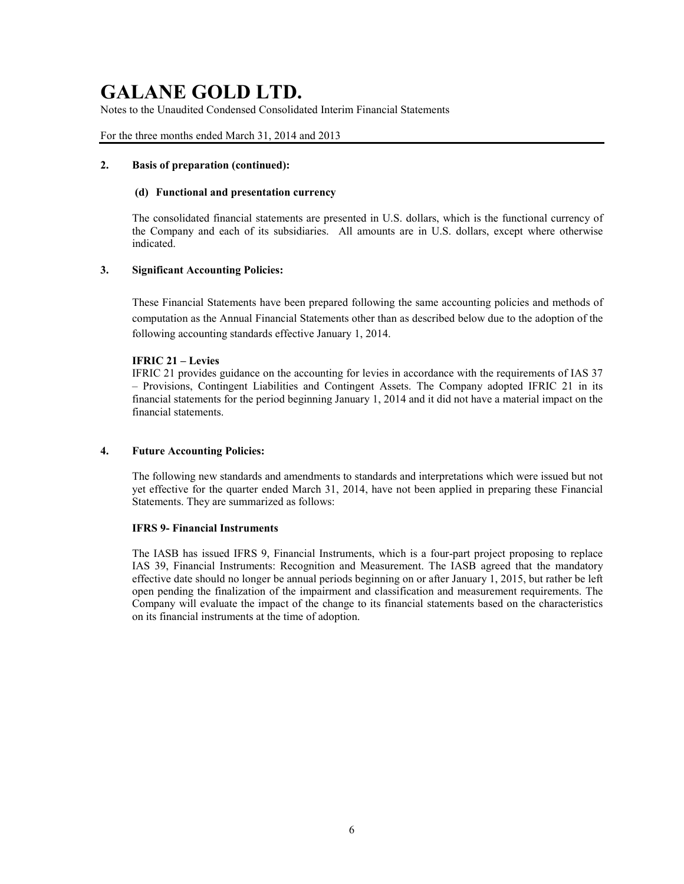Notes to the Unaudited Condensed Consolidated Interim Financial Statements

### For the three months ended March 31, 2014 and 2013

### **2. Basis of preparation (continued):**

### **(d) Functional and presentation currency**

The consolidated financial statements are presented in U.S. dollars, which is the functional currency of the Company and each of its subsidiaries. All amounts are in U.S. dollars, except where otherwise indicated.

## **3. Significant Accounting Policies:**

These Financial Statements have been prepared following the same accounting policies and methods of computation as the Annual Financial Statements other than as described below due to the adoption of the following accounting standards effective January 1, 2014.

### **IFRIC 21 – Levies**

IFRIC 21 provides guidance on the accounting for levies in accordance with the requirements of IAS 37 – Provisions, Contingent Liabilities and Contingent Assets. The Company adopted IFRIC 21 in its financial statements for the period beginning January 1, 2014 and it did not have a material impact on the financial statements.

#### **4. Future Accounting Policies:**

The following new standards and amendments to standards and interpretations which were issued but not yet effective for the quarter ended March 31, 2014, have not been applied in preparing these Financial Statements. They are summarized as follows:

#### **IFRS 9- Financial Instruments**

The IASB has issued IFRS 9, Financial Instruments, which is a four-part project proposing to replace IAS 39, Financial Instruments: Recognition and Measurement. The IASB agreed that the mandatory effective date should no longer be annual periods beginning on or after January 1, 2015, but rather be left open pending the finalization of the impairment and classification and measurement requirements. The Company will evaluate the impact of the change to its financial statements based on the characteristics on its financial instruments at the time of adoption.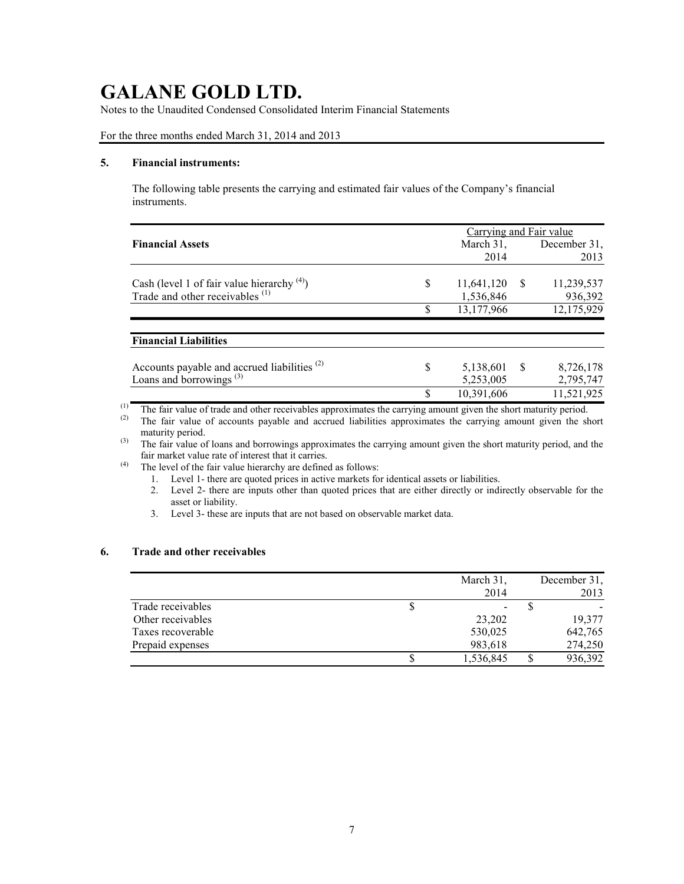Notes to the Unaudited Condensed Consolidated Interim Financial Statements

For the three months ended March 31, 2014 and 2013

## **5. Financial instruments:**

The following table presents the carrying and estimated fair values of the Company's financial instruments.

|                                                         | Carrying and Fair value |                   |  |  |  |  |
|---------------------------------------------------------|-------------------------|-------------------|--|--|--|--|
| <b>Financial Assets</b>                                 | March $31$ ,            | December 31,      |  |  |  |  |
|                                                         | 2014                    | 2013              |  |  |  |  |
| Cash (level 1 of fair value hierarchy $(4)$ )           | \$<br>11,641,120<br>- S | 11,239,537        |  |  |  |  |
| Trade and other receivables <sup>(1)</sup>              | 1,536,846               | 936,392           |  |  |  |  |
|                                                         | \$<br>13,177,966        | 12,175,929        |  |  |  |  |
| <b>Financial Liabilities</b>                            |                         |                   |  |  |  |  |
| Accounts payable and accrued liabilities <sup>(2)</sup> | \$<br>5,138,601         | - \$<br>8,726,178 |  |  |  |  |
| Loans and borrowings <sup>(3)</sup>                     | 5,253,005               | 2,795,747         |  |  |  |  |
|                                                         | \$<br>10,391,606        | 11,521,925        |  |  |  |  |

(1) The fair value of trade and other receivables approximates the carrying amount given the short maturity period.<br>(2) The fair value of accounts payable and accrued liabilities approximates the carrying amount given the

The fair value of accounts payable and accrued liabilities approximates the carrying amount given the short maturity period.

(3) The fair value of loans and borrowings approximates the carrying amount given the short maturity period, and the fair market value rate of interest that it carries.

(4) The level of the fair value hierarchy are defined as follows:

- 1. Level 1- there are quoted prices in active markets for identical assets or liabilities.
- 2. Level 2- there are inputs other than quoted prices that are either directly or indirectly observable for the asset or liability.
- 3. Level 3- these are inputs that are not based on observable market data.

## **6. Trade and other receivables**

|                   |   | March 31,                | December 31, |
|-------------------|---|--------------------------|--------------|
|                   |   | 2014                     | 2013         |
| Trade receivables | P | $\overline{\phantom{a}}$ |              |
| Other receivables |   | 23,202                   | 19,377       |
| Taxes recoverable |   | 530,025                  | 642,765      |
| Prepaid expenses  |   | 983,618                  | 274,250      |
|                   |   | 1,536,845                | 936,392      |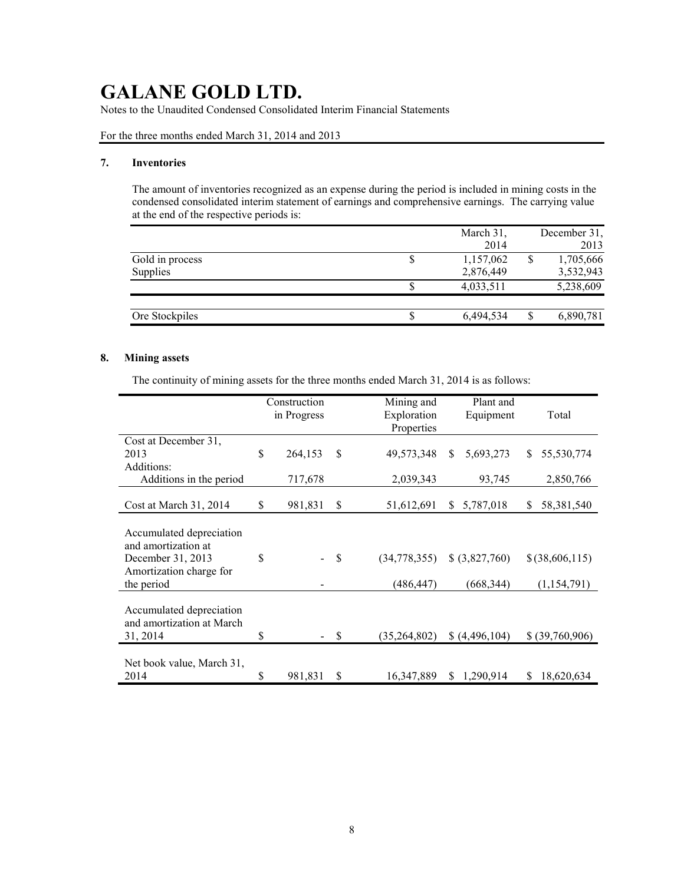Notes to the Unaudited Condensed Consolidated Interim Financial Statements

For the three months ended March 31, 2014 and 2013

### **7. Inventories**

The amount of inventories recognized as an expense during the period is included in mining costs in the condensed consolidated interim statement of earnings and comprehensive earnings. The carrying value at the end of the respective periods is:

|                 | March 31, |   | December 31, |
|-----------------|-----------|---|--------------|
|                 | 2014      |   | 2013         |
| Gold in process | 1,157,062 | S | 1,705,666    |
| Supplies        | 2,876,449 |   | 3,532,943    |
|                 | 4,033,511 |   | 5,238,609    |
|                 |           |   |              |
| Ore Stockpiles  | 6,494,534 |   | 6,890,781    |

## **8. Mining assets**

The continuity of mining assets for the three months ended March 31, 2014 is as follows:

|                                                                                                               | Construction<br>in Progress |    | Mining and<br>Exploration<br>Properties |    | Plant and<br>Equipment       | Total                           |
|---------------------------------------------------------------------------------------------------------------|-----------------------------|----|-----------------------------------------|----|------------------------------|---------------------------------|
| Cost at December 31,<br>2013<br>Additions:                                                                    | \$<br>264,153               | \$ | 49,573,348                              | \$ | 5,693,273                    | \$<br>55,530,774                |
| Additions in the period                                                                                       | 717,678                     |    | 2,039,343                               |    | 93,745                       | 2,850,766                       |
| Cost at March 31, 2014                                                                                        | \$<br>981,831               | \$ | 51,612,691                              | S. | 5,787,018                    | \$<br>58,381,540                |
| Accumulated depreciation<br>and amortization at<br>December 31, 2013<br>Amortization charge for<br>the period | \$                          | S  | (34,778,355)<br>(486, 447)              |    | \$ (3,827,760)<br>(668, 344) | $$$ (38,606,115)<br>(1,154,791) |
| Accumulated depreciation<br>and amortization at March<br>31, 2014                                             | \$                          | \$ | (35,264,802)                            |    | \$(4,496,104)                | \$ (39,760,906)                 |
| Net book value, March 31,<br>2014                                                                             | \$<br>981,831               | S  | 16,347,889                              | \$ | 1,290,914                    | \$<br>18,620,634                |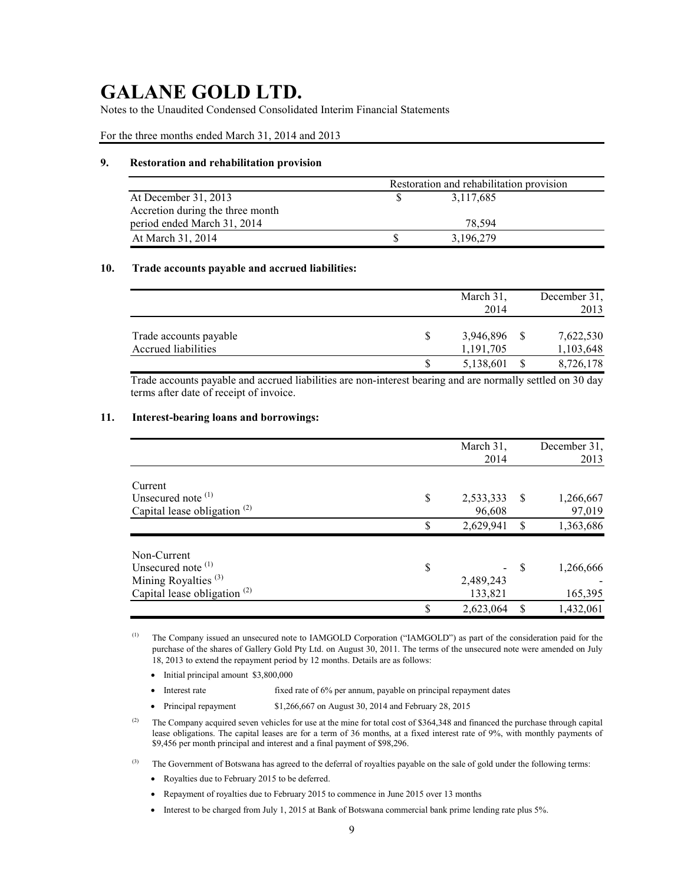Notes to the Unaudited Condensed Consolidated Interim Financial Statements

For the three months ended March 31, 2014 and 2013

### **9. Restoration and rehabilitation provision**

|                                  | Restoration and rehabilitation provision |           |  |  |  |  |
|----------------------------------|------------------------------------------|-----------|--|--|--|--|
| At December 31, 2013             |                                          | 3,117,685 |  |  |  |  |
| Accretion during the three month |                                          |           |  |  |  |  |
| period ended March 31, 2014      |                                          | 78.594    |  |  |  |  |
| At March 31, 2014                |                                          | 3,196,279 |  |  |  |  |

### **10. Trade accounts payable and accrued liabilities:**

|                        | March 31. | December 31. |
|------------------------|-----------|--------------|
|                        | 2014      | 2013         |
| Trade accounts payable | 3,946,896 | 7,622,530    |
| Accrued liabilities    | 1,191,705 | 1,103,648    |
|                        | 5,138,601 | 8,726,178    |

Trade accounts payable and accrued liabilities are non-interest bearing and are normally settled on 30 day terms after date of receipt of invoice.

### **11. Interest-bearing loans and borrowings:**

|                                 |    | March 31,<br>2014 |               | December 31,<br>2013 |
|---------------------------------|----|-------------------|---------------|----------------------|
| Current                         |    |                   |               |                      |
| Unsecured note $(1)$            | \$ | 2,533,333         | <sup>\$</sup> | 1,266,667            |
| Capital lease obligation $(2)$  |    | 96,608            |               | 97,019               |
|                                 | S  | 2,629,941         | S             | 1,363,686            |
| Non-Current                     |    |                   |               |                      |
| Unsecured note <sup>(1)</sup>   | S  |                   | <sup>S</sup>  | 1,266,666            |
| Mining Royalties <sup>(3)</sup> |    | 2,489,243         |               |                      |
| Capital lease obligation $(2)$  |    | 133,821           |               | 165,395              |
|                                 | S  | 2,623,064         |               | 1,432,061            |

(1) The Company issued an unsecured note to IAMGOLD Corporation ("IAMGOLD") as part of the consideration paid for the purchase of the shares of Gallery Gold Pty Ltd. on August 30, 2011. The terms of the unsecured note were amended on July 18, 2013 to extend the repayment period by 12 months. Details are as follows:

- $\bullet$  Initial principal amount \$3,800,000
- Interest rate fixed rate of 6% per annum, payable on principal repayment dates
- Principal repayment \$1,266,667 on August 30, 2014 and February 28, 2015
- <sup>(2)</sup> The Company acquired seven vehicles for use at the mine for total cost of \$364,348 and financed the purchase through capital lease obligations. The capital leases are for a term of 36 months, at a fixed interest rate of 9%, with monthly payments of \$9,456 per month principal and interest and a final payment of \$98,296.

 $<sup>(3)</sup>$  The Government of Botswana has agreed to the deferral of royalties payable on the sale of gold under the following terms:</sup>

- Royalties due to February 2015 to be deferred.
- Repayment of royalties due to February 2015 to commence in June 2015 over 13 months
- Interest to be charged from July 1, 2015 at Bank of Botswana commercial bank prime lending rate plus 5%.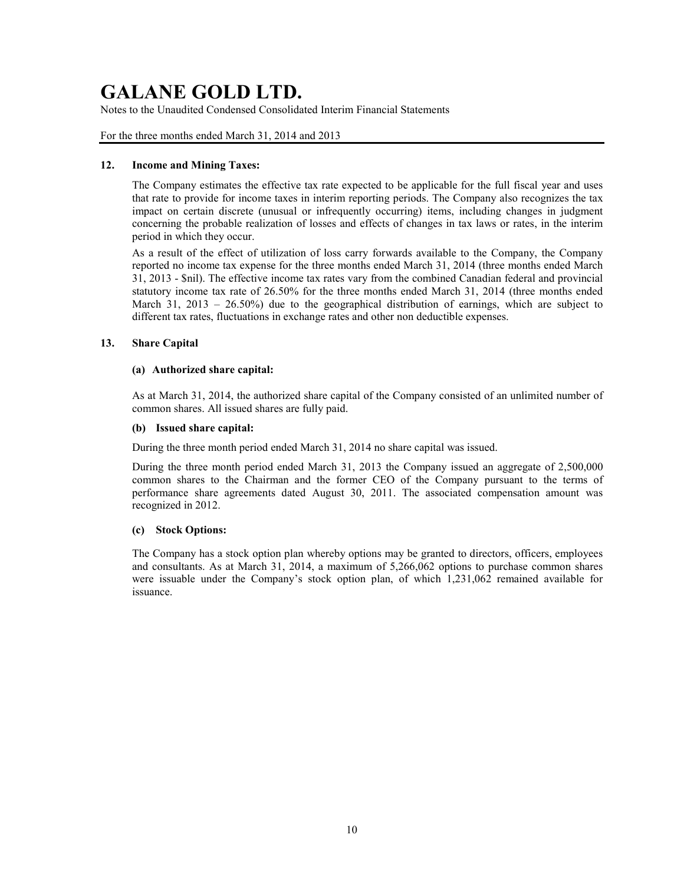Notes to the Unaudited Condensed Consolidated Interim Financial Statements

For the three months ended March 31, 2014 and 2013

## **12. Income and Mining Taxes:**

The Company estimates the effective tax rate expected to be applicable for the full fiscal year and uses that rate to provide for income taxes in interim reporting periods. The Company also recognizes the tax impact on certain discrete (unusual or infrequently occurring) items, including changes in judgment concerning the probable realization of losses and effects of changes in tax laws or rates, in the interim period in which they occur.

As a result of the effect of utilization of loss carry forwards available to the Company, the Company reported no income tax expense for the three months ended March 31, 2014 (three months ended March 31, 2013 - \$nil). The effective income tax rates vary from the combined Canadian federal and provincial statutory income tax rate of 26.50% for the three months ended March 31, 2014 (three months ended March 31, 2013 – 26.50%) due to the geographical distribution of earnings, which are subject to different tax rates, fluctuations in exchange rates and other non deductible expenses.

## **13. Share Capital**

## **(a) Authorized share capital:**

As at March 31, 2014, the authorized share capital of the Company consisted of an unlimited number of common shares. All issued shares are fully paid.

## **(b) Issued share capital:**

During the three month period ended March 31, 2014 no share capital was issued.

During the three month period ended March 31, 2013 the Company issued an aggregate of 2,500,000 common shares to the Chairman and the former CEO of the Company pursuant to the terms of performance share agreements dated August 30, 2011. The associated compensation amount was recognized in 2012.

## **(c) Stock Options:**

The Company has a stock option plan whereby options may be granted to directors, officers, employees and consultants. As at March 31, 2014, a maximum of 5,266,062 options to purchase common shares were issuable under the Company's stock option plan, of which 1,231,062 remained available for issuance.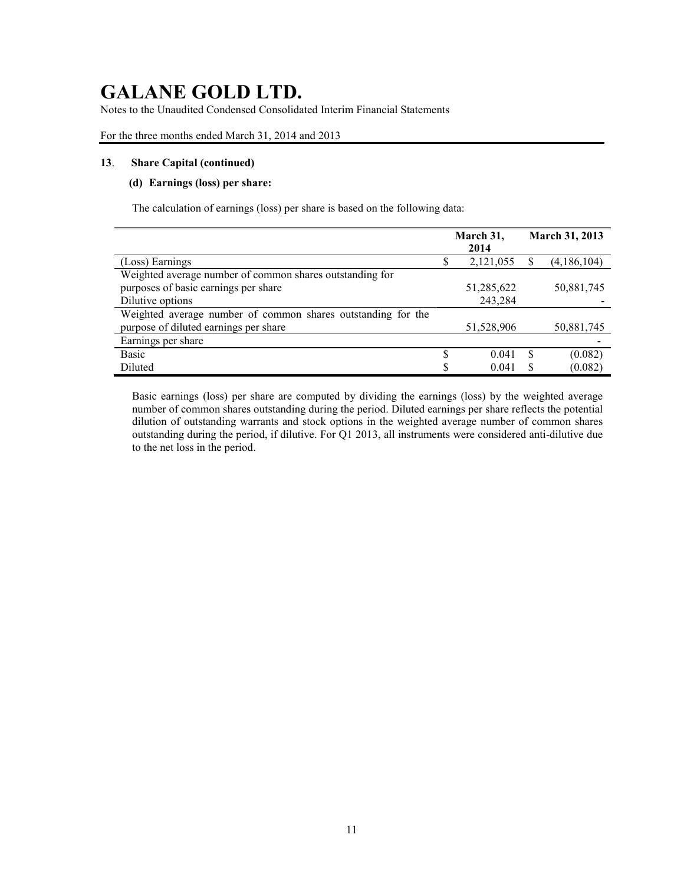Notes to the Unaudited Condensed Consolidated Interim Financial Statements

For the three months ended March 31, 2014 and 2013

### **13**. **Share Capital (continued)**

### **(d) Earnings (loss) per share:**

The calculation of earnings (loss) per share is based on the following data:

|                                                              |    | March 31,<br>2014 | March 31, 2013 |             |  |
|--------------------------------------------------------------|----|-------------------|----------------|-------------|--|
| (Loss) Earnings                                              |    | 2,121,055         |                | (4,186,104) |  |
| Weighted average number of common shares outstanding for     |    |                   |                |             |  |
| purposes of basic earnings per share                         |    | 51,285,622        |                | 50,881,745  |  |
| Dilutive options                                             |    | 243,284           |                |             |  |
| Weighted average number of common shares outstanding for the |    |                   |                |             |  |
| purpose of diluted earnings per share                        |    | 51,528,906        |                | 50,881,745  |  |
| Earnings per share                                           |    |                   |                |             |  |
| <b>Basic</b>                                                 | S  | 0.041             | \$.            | (0.082)     |  |
| Diluted                                                      | \$ | 0.041             |                | (0.082)     |  |

Basic earnings (loss) per share are computed by dividing the earnings (loss) by the weighted average number of common shares outstanding during the period. Diluted earnings per share reflects the potential dilution of outstanding warrants and stock options in the weighted average number of common shares outstanding during the period, if dilutive. For Q1 2013, all instruments were considered anti-dilutive due to the net loss in the period.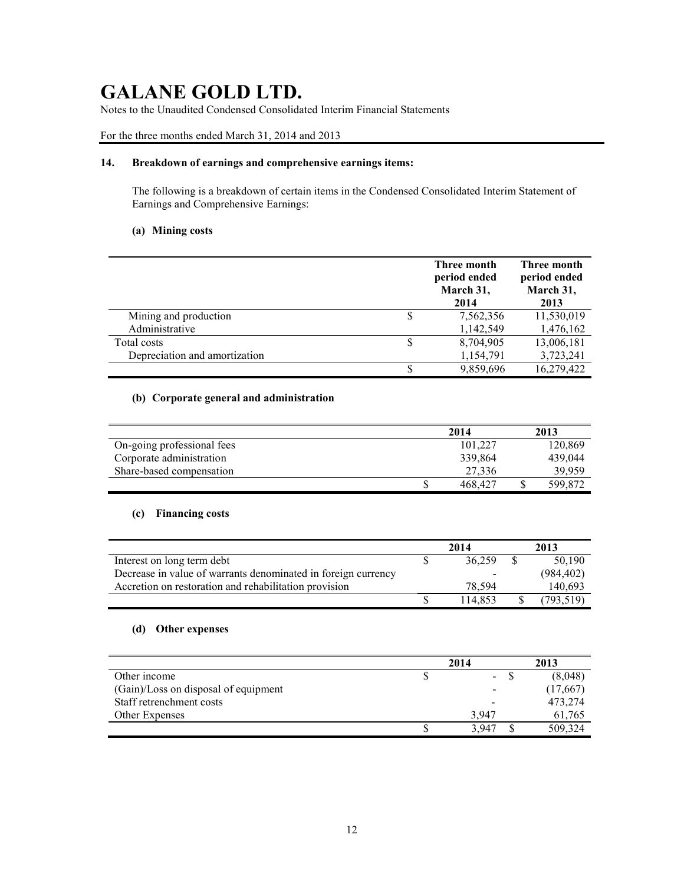Notes to the Unaudited Condensed Consolidated Interim Financial Statements

For the three months ended March 31, 2014 and 2013

## **14. Breakdown of earnings and comprehensive earnings items:**

The following is a breakdown of certain items in the Condensed Consolidated Interim Statement of Earnings and Comprehensive Earnings:

## **(a) Mining costs**

|                               | Three month<br>period ended<br>March 31,<br>2014 | Three month<br>period ended<br>March 31,<br>2013 |
|-------------------------------|--------------------------------------------------|--------------------------------------------------|
| Mining and production         | 7,562,356                                        | 11,530,019                                       |
| Administrative                | 1,142,549                                        | 1,476,162                                        |
| Total costs                   | 8,704,905                                        | 13,006,181                                       |
| Depreciation and amortization | 1,154,791                                        | 3,723,241                                        |
|                               | 9,859,696                                        | 16,279,422                                       |

## **(b) Corporate general and administration**

|                            | 2014    | 2013    |
|----------------------------|---------|---------|
| On-going professional fees | 101.227 | 120,869 |
| Corporate administration   | 339,864 | 439.044 |
| Share-based compensation   | 27.336  | 39.959  |
|                            | 468,427 | 599.872 |

### **(c) Financing costs**

|                                                               | 2014 |         | 2013 |            |
|---------------------------------------------------------------|------|---------|------|------------|
| Interest on long term debt                                    |      | 36.259  |      | 50.190     |
| Decrease in value of warrants denominated in foreign currency |      |         |      | (984, 402) |
| Accretion on restoration and rehabilitation provision         |      | 78.594  |      | 140.693    |
|                                                               |      | 114.853 |      | (793, 519) |

### **(d) Other expenses**

|                                      | 2014    | 2013     |
|--------------------------------------|---------|----------|
| Other income                         | $\sim$  | (8.048)  |
| (Gain)/Loss on disposal of equipment |         | (17,667) |
| Staff retrenchment costs             |         | 473,274  |
| Other Expenses                       | 3.947   | 61.765   |
|                                      | 3 9 4 7 | 509,324  |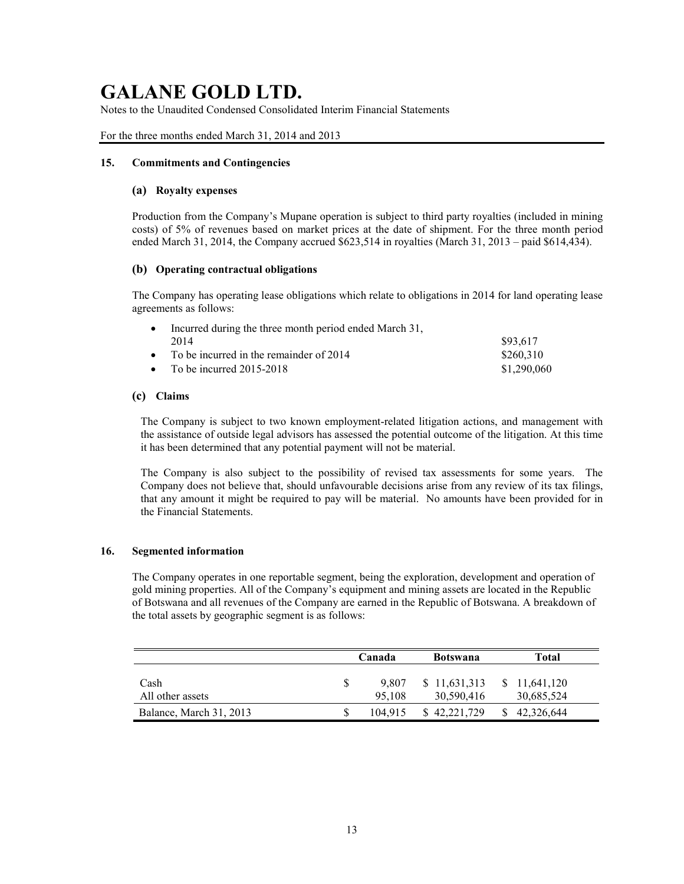Notes to the Unaudited Condensed Consolidated Interim Financial Statements

For the three months ended March 31, 2014 and 2013

### **15. Commitments and Contingencies**

### **(a) Royalty expenses**

Production from the Company's Mupane operation is subject to third party royalties (included in mining costs) of 5% of revenues based on market prices at the date of shipment. For the three month period ended March 31, 2014, the Company accrued \$623,514 in royalties (March 31, 2013 – paid \$614,434).

### **(b) Operating contractual obligations**

The Company has operating lease obligations which relate to obligations in 2014 for land operating lease agreements as follows:

| $\bullet$ | Incurred during the three month period ended March 31, |             |
|-----------|--------------------------------------------------------|-------------|
|           | 2014                                                   | \$93.617    |
|           | • To be incurred in the remainder of $2014$            | \$260.310   |
|           | • To be incurred $2015-2018$                           | \$1,290,060 |

## **(c) Claims**

The Company is subject to two known employment-related litigation actions, and management with the assistance of outside legal advisors has assessed the potential outcome of the litigation. At this time it has been determined that any potential payment will not be material.

The Company is also subject to the possibility of revised tax assessments for some years. The Company does not believe that, should unfavourable decisions arise from any review of its tax filings, that any amount it might be required to pay will be material. No amounts have been provided for in the Financial Statements.

#### **16. Segmented information**

The Company operates in one reportable segment, being the exploration, development and operation of gold mining properties. All of the Company's equipment and mining assets are located in the Republic of Botswana and all revenues of the Company are earned in the Republic of Botswana. A breakdown of the total assets by geographic segment is as follows:

|                          |   | Canada<br><b>Botswana</b> |  | Total                      |                            |
|--------------------------|---|---------------------------|--|----------------------------|----------------------------|
| Cash<br>All other assets | S | 9.807<br>95.108           |  | \$11,631,313<br>30,590,416 | \$11,641,120<br>30,685,524 |
| Balance, March 31, 2013  |   | 104.915                   |  | \$42,221,729               | \$42,326,644               |